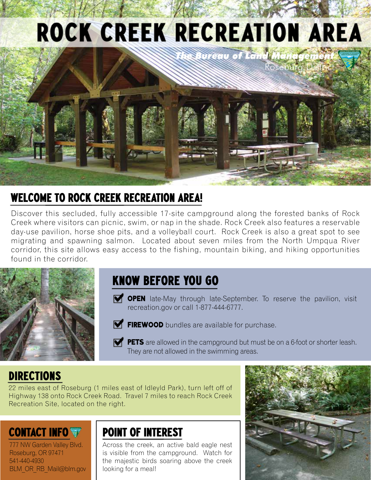# ROCK CREEK RECREATION AREA



## Welcome to Rock Creek Recreation Area!

Discover this secluded, fully accessible 17-site campground along the forested banks of Rock Creek where visitors can picnic, swim, or nap in the shade. Rock Creek also features a reservable day-use pavilion, horse shoe pits, and a volleyball court. Rock Creek is also a great spot to see migrating and spawning salmon. Located about seven miles from the North Umpqua River corridor, this site allows easy access to the fishing, mountain biking, and hiking opportunities found in the corridor.



### Know before you go

- **OPEN** late-May through late-September. To reserve the pavilion, visit recreation.gov or call 1-877-444-6777.
- $\blacksquare$  FIREWOOD bundles are available for purchase.

**PETS** are allowed in the campground but must be on a 6-foot or shorter leash. They are not allowed in the swimming areas.

#### **DIRECTIONS**

22 miles east of Roseburg (1 miles east of Idleyld Park), turn left off of Highway 138 onto Rock Creek Road. Travel 7 miles to reach Rock Creek Recreation Site, located on the right.

## CONTACT INFO

777 NW Garden Valley Blvd. Roseburg, OR 97471 541-440-4930 BLM\_OR\_RB\_Mail@blm.gov

#### point of interest

Across the creek, an active bald eagle nest is visible from the campground. Watch for the majestic birds soaring above the creek looking for a meal!